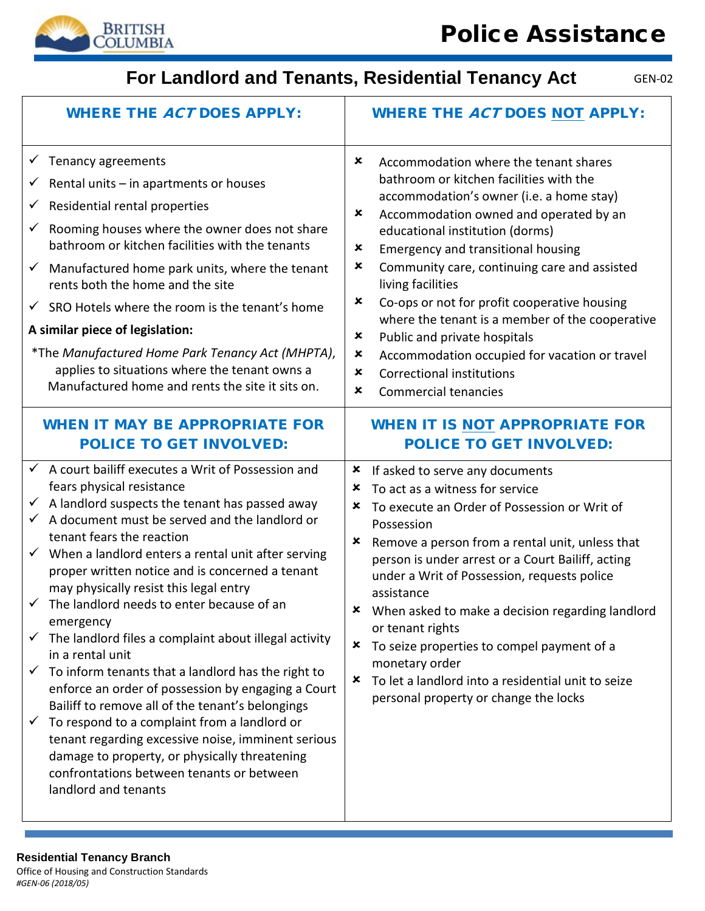

# **For Landlord and Tenants, Residential Tenancy Act**

| <b>WHERE THE ACT DOES APPLY:</b>                                                                                                                                                                                                                                                                                                                                                                                                                                                                                                                                                                                                                                                                                                                                                                                                                                                                                                                                                                                                                            | <b>WHERE THE ACT DOES NOT APPLY:</b>                                                                                                                                                                                                                                                                                                                                                                                                                                                                                                                                                                                                                                   |
|-------------------------------------------------------------------------------------------------------------------------------------------------------------------------------------------------------------------------------------------------------------------------------------------------------------------------------------------------------------------------------------------------------------------------------------------------------------------------------------------------------------------------------------------------------------------------------------------------------------------------------------------------------------------------------------------------------------------------------------------------------------------------------------------------------------------------------------------------------------------------------------------------------------------------------------------------------------------------------------------------------------------------------------------------------------|------------------------------------------------------------------------------------------------------------------------------------------------------------------------------------------------------------------------------------------------------------------------------------------------------------------------------------------------------------------------------------------------------------------------------------------------------------------------------------------------------------------------------------------------------------------------------------------------------------------------------------------------------------------------|
| $\checkmark$ Tenancy agreements<br>Rental units - in apartments or houses<br>✓<br>Residential rental properties<br>$\checkmark$<br>Rooming houses where the owner does not share<br>✓<br>bathroom or kitchen facilities with the tenants<br>Manufactured home park units, where the tenant<br>$\checkmark$<br>rents both the home and the site<br>$\checkmark$ SRO Hotels where the room is the tenant's home<br>A similar piece of legislation:<br>*The Manufactured Home Park Tenancy Act (MHPTA),<br>applies to situations where the tenant owns a<br>Manufactured home and rents the site it sits on.                                                                                                                                                                                                                                                                                                                                                                                                                                                   | ×<br>Accommodation where the tenant shares<br>bathroom or kitchen facilities with the<br>accommodation's owner (i.e. a home stay)<br>$\pmb{\times}$<br>Accommodation owned and operated by an<br>educational institution (dorms)<br>×<br><b>Emergency and transitional housing</b><br>Community care, continuing care and assisted<br>×<br>living facilities<br>×<br>Co-ops or not for profit cooperative housing<br>where the tenant is a member of the cooperative<br>$\pmb{\times}$<br>Public and private hospitals<br>$\pmb{\times}$<br>Accommodation occupied for vacation or travel<br>×<br><b>Correctional institutions</b><br>×<br><b>Commercial tenancies</b> |
| <b>WHEN IT MAY BE APPROPRIATE FOR</b><br><b>POLICE TO GET INVOLVED:</b><br>$\checkmark$ A court bailiff executes a Writ of Possession and<br>fears physical resistance<br>A landlord suspects the tenant has passed away<br>$\checkmark$<br>A document must be served and the landlord or<br>tenant fears the reaction<br>$\checkmark$ When a landlord enters a rental unit after serving<br>proper written notice and is concerned a tenant<br>may physically resist this legal entry<br>$\checkmark$ The landlord needs to enter because of an<br>emergency<br>The landlord files a complaint about illegal activity<br>in a rental unit<br>To inform tenants that a landlord has the right to<br>✓<br>enforce an order of possession by engaging a Court<br>Bailiff to remove all of the tenant's belongings<br>To respond to a complaint from a landlord or<br>$\checkmark$<br>tenant regarding excessive noise, imminent serious<br>damage to property, or physically threatening<br>confrontations between tenants or between<br>landlord and tenants | <b>WHEN IT IS NOT APPROPRIATE FOR</b><br><b>POLICE TO GET INVOLVED:</b><br>If asked to serve any documents<br>×<br>×<br>To act as a witness for service<br>To execute an Order of Possession or Writ of<br>×<br>Possession<br>Remove a person from a rental unit, unless that<br>×<br>person is under arrest or a Court Bailiff, acting<br>under a Writ of Possession, requests police<br>assistance<br>When asked to make a decision regarding landlord<br>x<br>or tenant rights<br>×<br>To seize properties to compel payment of a<br>monetary order<br>To let a landlord into a residential unit to seize<br>×<br>personal property or change the locks             |